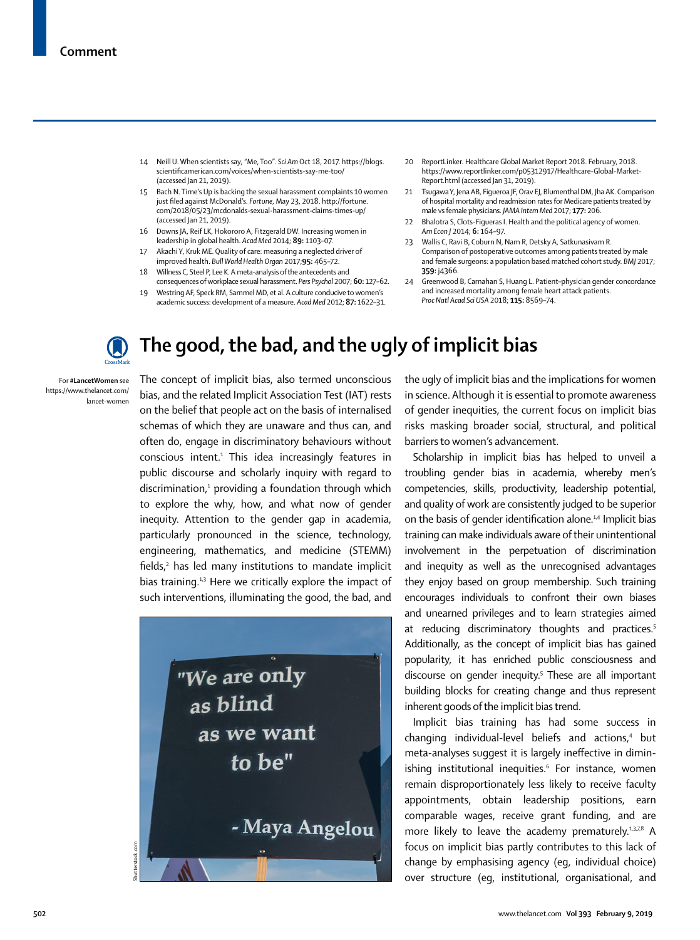- 14 Neill U. When scientists say, "Me, Too". *Sci Am* Oct 18, 2017. https://blogs. scientificamerican.com/voices/when-scientists-say-me-too/ (accessed Jan 21, 2019).
- 15 Bach N. Time's Up is backing the sexual harassment complaints 10 women just filed against McDonald's. *Fortune*, May 23, 2018. http://fortune. com/2018/05/23/mcdonalds-sexual-harassment-claims-times-up/ (accessed Jan 21, 2019).
- 16 Downs JA, Reif LK, Hokororo A, Fitzgerald DW. Increasing women in leadership in global health. *Acad Med* 2014; **89:** 1103–07.
- 17 Akachi Y, Kruk ME. Quality of care: measuring a neglected driver of improved health. *Bull World Health Organ* 2017;**95:** 465–72.
- 18 Willness C, Steel P, Lee K. A meta-analysis of the antecedents and consequences of workplace sexual harassment. *Pers Psychol* 2007; **60:** 127–62.
- 19 Westring AF, Speck RM, Sammel MD, et al. A culture conducive to women's academic success: development of a measure. *Acad Med* 2012; **87:** 1622–31.
- 20 ReportLinker. Healthcare Global Market Report 2018. February, 2018. https://www.reportlinker.com/p05312917/Healthcare-Global-Market-Report.html (accessed Jan 31, 2019).
- 21 Tsugawa Y, Jena AB, Figueroa JF, Orav EJ, Blumenthal DM, Jha AK. Comparison of hospital mortality and readmission rates for Medicare patients treated by male vs female physicians. *JAMA Intern Med* 2017; **177:** 206.
- 22 Bhalotra S, Clots-Figueras I. Health and the political agency of women. *Am Econ J* 2014; **6:** 164–97.
- 23 Wallis C, Ravi B, Coburn N, Nam R, Detsky A, Satkunasivam R. Comparison of postoperative outcomes among patients treated by male and female surgeons: a population based matched cohort study. *BMJ* 2017; **359:** j4366.
- 24 Greenwood B, Carnahan S, Huang L. Patient–physician gender concordance and increased mortality among female heart attack patients. *Proc Natl Acad Sci USA* 2018; **115:** 8569–74.



## **The good, the bad, and the ugly of implicit bias**

For **#LancetWomen** see [https://www.thelancet.com/](https://www.thelancet.com/lancet-women) [lancet-women](https://www.thelancet.com/lancet-women)

The concept of implicit bias, also termed unconscious bias, and the related Implicit Association Test (IAT) rests on the belief that people act on the basis of internalised schemas of which they are unaware and thus can, and often do, engage in discriminatory behaviours without conscious intent.<sup>1</sup> This idea increasingly features in public discourse and scholarly inquiry with regard to discrimination,<sup>1</sup> providing a foundation through which to explore the why, how, and what now of gender inequity. Attention to the gender gap in academia, particularly pronounced in the science, technology, engineering, mathematics, and medicine (STEMM) fields,<sup>2</sup> has led many institutions to mandate implicit bias training.<sup>1,3</sup> Here we critically explore the impact of such interventions, illuminating the good, the bad, and



the ugly of implicit bias and the implications for women in science. Although it is essential to promote awareness of gender inequities, the current focus on implicit bias risks masking broader social, structural, and political barriers to women's advancement.

Scholarship in implicit bias has helped to unveil a troubling gender bias in academia, whereby men's competencies, skills, productivity, leadership potential, and quality of work are consistently judged to be superior on the basis of gender identification alone.<sup>1,4</sup> Implicit bias training can make individuals aware of their unintentional involvement in the perpetuation of discrimination and inequity as well as the unrecognised advantages they enjoy based on group membership. Such training encourages individuals to confront their own biases and unearned privileges and to learn strategies aimed at reducing discriminatory thoughts and practices.<sup>5</sup> Additionally, as the concept of implicit bias has gained popularity, it has enriched public consciousness and discourse on gender inequity.<sup>5</sup> These are all important building blocks for creating change and thus represent inherent goods of the implicit bias trend.

Implicit bias training has had some success in changing individual-level beliefs and actions,<sup>4</sup> but meta-analyses suggest it is largely ineffective in diminishing institutional inequities.<sup>6</sup> For instance, women remain disproportionately less likely to receive faculty appointments, obtain leadership positions, earn comparable wages, receive grant funding, and are more likely to leave the academy prematurely.<sup>1,3,7,8</sup> A focus on implicit bias partly contributes to this lack of change by emphasising agency (eg, individual choice) over structure (eg, institutional, organisational, and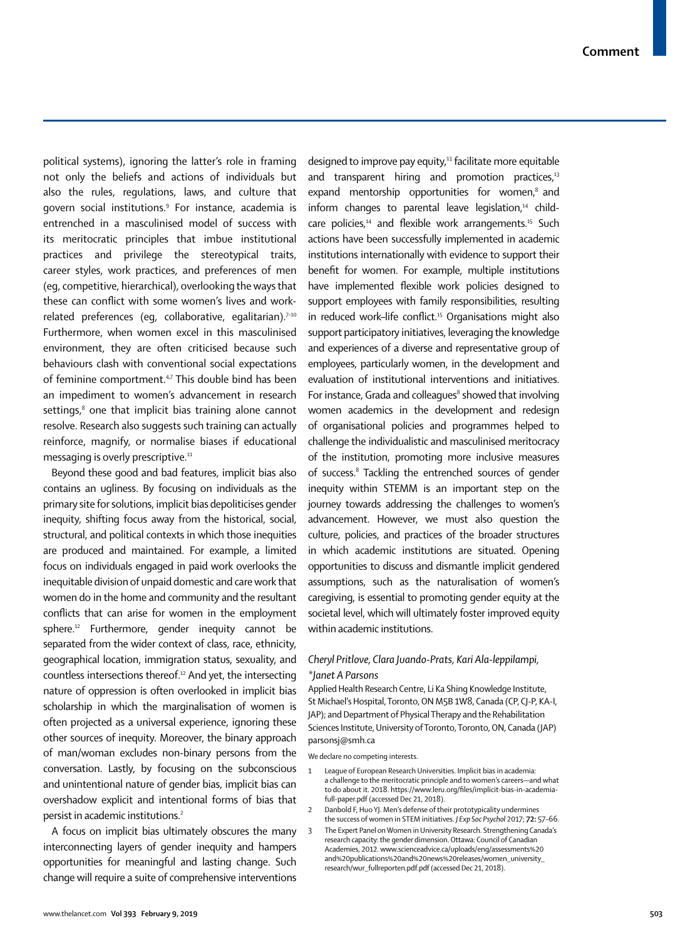political systems), ignoring the latter's role in framing not only the beliefs and actions of individuals but also the rules, regulations, laws, and culture that govern social institutions.9 For instance, academia is entrenched in a masculinised model of success with its meritocratic principles that imbue institutional practices and privilege the stereotypical traits, career styles, work practices, and preferences of men (eg, competitive, hierarchical), overlooking the ways that these can conflict with some women's lives and workrelated preferences (eq, collaborative, eqalitarian). $7-10$ Furthermore, when women excel in this masculinised environment, they are often criticised because such behaviours clash with conventional social expectations of feminine comportment.<sup>4,7</sup> This double bind has been an impediment to women's advancement in research settings, $8$  one that implicit bias training alone cannot resolve. Research also suggests such training can actually reinforce, magnify, or normalise biases if educational messaging is overly prescriptive.<sup>11</sup>

Beyond these good and bad features, implicit bias also contains an ugliness. By focusing on individuals as the primary site for solutions, implicit bias depoliticises gender inequity, shifting focus away from the historical, social, structural, and political contexts in which those inequities are produced and maintained. For example, a limited focus on individuals engaged in paid work overlooks the inequitable division of unpaid domestic and care work that women do in the home and community and the resultant conflicts that can arise for women in the employment sphere.<sup>12</sup> Furthermore, gender inequity cannot be separated from the wider context of class, race, ethnicity, geographical location, immigration status, sexuality, and countless intersections thereof.12 And yet, the intersecting nature of oppression is often overlooked in implicit bias scholarship in which the marginalisation of women is often projected as a universal experience, ignoring these other sources of inequity. Moreover, the binary approach of man/woman excludes non-binary persons from the conversation. Lastly, by focusing on the subconscious and unintentional nature of gender bias, implicit bias can overshadow explicit and intentional forms of bias that persist in academic institutions.2

A focus on implicit bias ultimately obscures the many interconnecting layers of gender inequity and hampers opportunities for meaningful and lasting change. Such change will require a suite of comprehensive interventions

designed to improve pay equity,<sup>13</sup> facilitate more equitable and transparent hiring and promotion practices, $13$ expand mentorship opportunities for women.<sup>8</sup> and inform changes to parental leave legislation, $14$  childcare policies,<sup>14</sup> and flexible work arrangements.<sup>15</sup> Such actions have been successfully implemented in academic institutions internationally with evidence to support their benefit for women. For example, multiple institutions have implemented flexible work policies designed to support employees with family responsibilities, resulting in reduced work-life conflict.<sup>15</sup> Organisations might also support participatory initiatives, leveraging the knowledge and experiences of a diverse and representative group of employees, particularly women, in the development and evaluation of institutional interventions and initiatives. For instance, Grada and colleagues<sup>8</sup> showed that involving women academics in the development and redesign of organisational policies and programmes helped to challenge the individualistic and masculinised meritocracy of the institution, promoting more inclusive measures of success.<sup>8</sup> Tackling the entrenched sources of gender inequity within STEMM is an important step on the journey towards addressing the challenges to women's advancement. However, we must also question the culture, policies, and practices of the broader structures in which academic institutions are situated. Opening opportunities to discuss and dismantle implicit gendered assumptions, such as the naturalisation of women's caregiving, is essential to promoting gender equity at the societal level, which will ultimately foster improved equity within academic institutions.

## *Cheryl Pritlove, Clara Juando-Prats, Kari Ala-leppilampi, \*Janet A Parsons*

Applied Health Research Centre, Li Ka Shing Knowledge Institute, St Michael's Hospital, Toronto, ON M5B 1W8, Canada (CP, CJ-P, KA-I, JAP); and Department of Physical Therapy and the Rehabilitation Sciences Institute, University of Toronto, Toronto, ON, Canada (JAP) parsonsj@smh.ca

We declare no competing interests.

- 1 League of European Research Universities. Implicit bias in academia: a challenge to the meritocratic principle and to women's careers—and what to do about it. 2018. https://www.leru.org/files/implicit-bias-in-academiafull-paper.pdf (accessed Dec 21, 2018).
- 2 Danbold F, Huo YJ. Men's defense of their prototypicality undermines the success of women in STEM initiatives. *J Exp Soc Psychol* 2017; **72:** 57–66.
- 3 The Expert Panel on Women in University Research. Strengthening Canada's research capacity: the gender dimension. Ottawa: Council of Canadian Academies, 2012. www.scienceadvice.ca/uploads/eng/assessments%20 and%20publications%20and%20news%20releases/women\_university\_ research/wur\_fullreporten.pdf.pdf (accessed Dec 21, 2018).